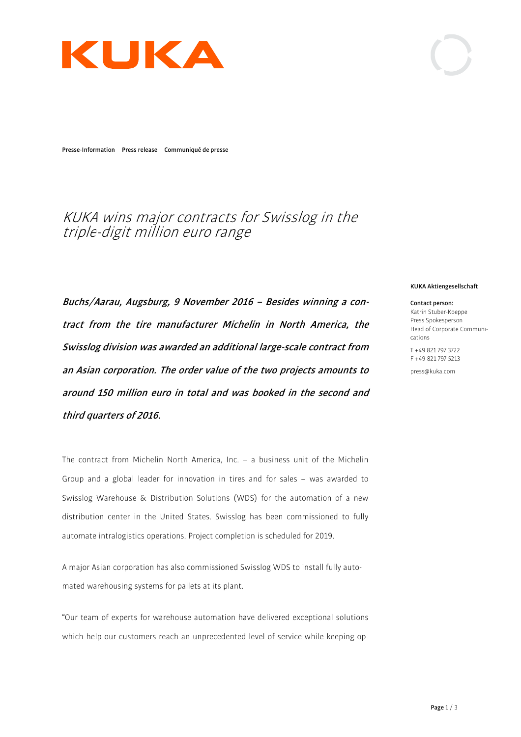

**Presse-Information Press release Communiqué de presse**

# KUKA wins major contracts for Swisslog in the triple-digit million euro range

**Buchs/Aarau, Augsburg, 9 November 2016 – Besides winning a contract from the tire manufacturer Michelin in North America, the Swisslog division was awarded an additional large-scale contract from an Asian corporation. The order value of the two projects amounts to around 150 million euro in total and was booked in the second and third quarters of 2016.** 

The contract from Michelin North America, Inc. – a business unit of the Michelin Group and a global leader for innovation in tires and for sales – was awarded to Swisslog Warehouse & Distribution Solutions (WDS) for the automation of a new distribution center in the United States. Swisslog has been commissioned to fully automate intralogistics operations. Project completion is scheduled for 2019.

A major Asian corporation has also commissioned Swisslog WDS to install fully automated warehousing systems for pallets at its plant.

"Our team of experts for warehouse automation have delivered exceptional solutions which help our customers reach an unprecedented level of service while keeping op-

#### **KUKA Aktiengesellschaft**

**Contact person:**  Katrin Stuber-Koeppe Press Spokesperson Head of Corporate Communications

T +49 821 797 3722 F +49 821 797 5213

press@kuka.com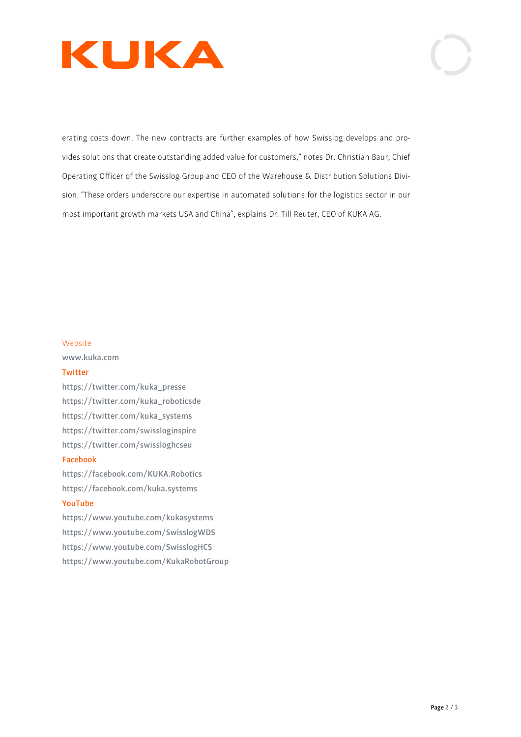



erating costs down. The new contracts are further examples of how Swisslog develops and provides solutions that create outstanding added value for customers," notes Dr. Christian Baur, Chief Operating Officer of the Swisslog Group and CEO of the Warehouse & Distribution Solutions Division. "These orders underscore our expertise in automated solutions for the logistics sector in our most important growth markets USA and China", explains Dr. Till Reuter, CEO of KUKA AG.

#### Website

**www.kuka.com** 

#### **Twitter**

**https://twitter.com/kuka\_presse https://twitter.com/kuka\_roboticsde https://twitter.com/kuka\_systems https://twitter.com/swissloginspire https://twitter.com/swissloghcseu**

#### **Facebook**

**https://facebook.com/KUKA.Robotics https://facebook.com/kuka.systems YouTube** 

**https://www.youtube.com/kukasystems https://www.youtube.com/SwisslogWDS https://www.youtube.com/SwisslogHCS https://www.youtube.com/KukaRobotGroup**